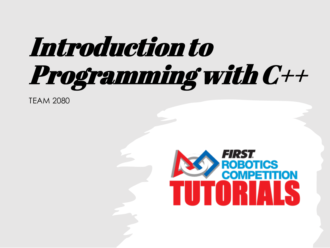# Introduction to Programming with C++

TEAM 2080

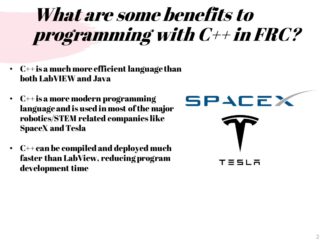## What are some benefits to programming with C++ in FRC?

- $\cdot$   $C^{++}$  is a much more efficient language than both LabVIEW and Java
- C++ is a more modern programming language and is used in most of the major robotics/STEM related companies like SpaceX and Tesla
- $\cdot$  C++ can be compiled and deployed much faster than LabView, reducing program development time

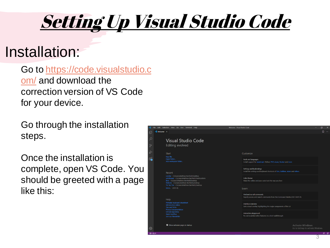## Setting Up Visual Studio Code

### Installation:

Go to [https://code.visualstudio.c](https://code.visualstudio.com/) om/ and download the correction version of VS Code for your device.

Go through the installation steps.

Once the installation is complete, open VS Code. You should be greeted with a page like this:

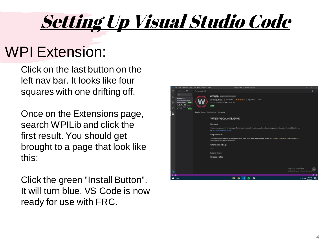## Setting Up Visual Studio Code

### WPI Extension:

Click on the last button on the left nav bar. It looks like four squares with one drifting off.

Once on the Extensions page, search WPILib and click the first result. You should get brought to a page that look like this:

Click the green "Install Button". It will turn blue. VS Code is now ready for use with FRC.

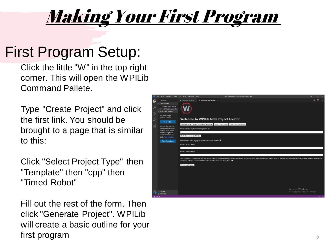### Making Your First Program

### First Program Setup:

Click the little "W" in the top right corner. This will open the WPILib Command Pallete.

Type "Create Project" and click the first link. You should be brought to a page that is similar to this:

Click "Select Project Type" then "Template" then "cpp" then "Timed Robot"

Fill out the rest of the form. Then click "Generate Project". WPILib will create a basic outline for your first program

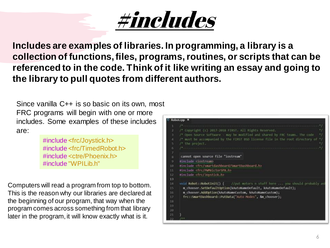

**Includes are examples of libraries. In programming, a library is a collection of functions, files, programs, routines, or scripts that can be referenced to in the code. Think of it like writing an essay and going to the library to pull quotes from different authors.**

Since vanilla C++ is so basic on its own, most FRC programs will begin with one or more includes. Some examples of these includes are:

> #include <frc/Joystick.h> #include <frc/TimedRobot.h> #include <ctre/Phoenix.h> #include "WPILib.h"

Computers will read a program from top to bottom. This is the reason why our libraries are declared at the beginning of our program, that way when the program comes across something from that library later in the program, it will know exactly what is it.

|                                              | Robot.cpp X                                                                                                                                                                                                                                                                               |
|----------------------------------------------|-------------------------------------------------------------------------------------------------------------------------------------------------------------------------------------------------------------------------------------------------------------------------------------------|
| 2<br>3<br>$\overline{a}$<br>5<br>6           | /" Copyright (c) 2017-2018 FIRST. All Rights Reserved.<br>w.<br>/* Open Source Software - may be modified and shared by FRC teams. The code<br>/* must be accompanied by the FIRST BSD license file in the root directory of<br>$^{\circ}$<br>$\prime$ the project.<br>17.444444444444444 |
| 7<br>g<br>$\mathbf{Q}$<br>10<br>11<br>12     | cannot open source file "iostream"<br>#include <iostream><br/>#include <frc smartdashboard="" smartdashboard.h=""><br/>#include <frc pwmvictorspx.h=""><br/>Winclude <frc joystick.h=""></frc></frc></frc></iostream>                                                                     |
| 13<br>14<br>15<br>16<br>17<br>18<br>19<br>20 | woid Robot::RobotInit() { //put motors a stuff here  you should probably as<br>m chooser.SetDefaultOption(kAutoNameDefault, kAutoNameDefault);<br>m chooser.AddOption(kAutoNameCustom, kAutoNameCustom);<br>frc::SmartDashboard::PutData("Auto Modes", &m chooser);                       |
| 21                                           |                                                                                                                                                                                                                                                                                           |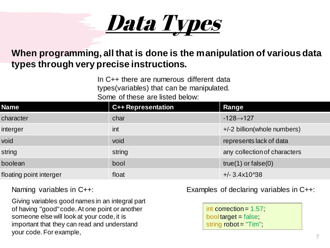

#### **When programming, all that is done is the manipulation of various data types through very precise instructions.**

In C++ there are numerous different data types(variables) that can be manipulated. Some of these are listed below:

| <b>Name</b>             | <b>C++ Representation</b> | <b>Range</b>                  |
|-------------------------|---------------------------|-------------------------------|
| character               | char                      | $-128 \rightarrow 127$        |
| interger                | int                       | $+/-2$ billion(whole numbers) |
| void                    | void                      | represents lack of data       |
| string                  | string                    | any collection of characters  |
| boolean                 | bool                      | $true(1)$ or $false(0)$       |
| floating point interger | float                     | $+/- 3.4x10^{38}$             |

Naming variables in C++:

Giving variables good names in an integral part of having "good" code. At one point or another someone else will look at your code, it is important that they can read and understand your code. For example,

Examples of declaring variables in C++:

int correction= 1.57;  $bool$  target = false; string robot = "Tim";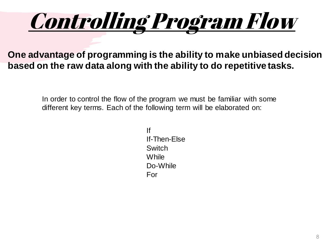

**One advantage of programming is the ability to make unbiased decision based on the raw data along with the ability to do repetitive tasks.**

> In order to control the flow of the program we must be familiar with some different key terms. Each of the following term will be elaborated on:

> > If If-Then-Else **Switch While** Do-While For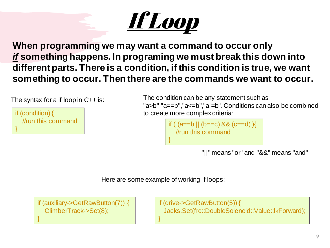

**When programming we may want a command to occur only**  *if* **something happens. In programing we must break this down into different parts. There is a condition, if this condition is true, we want something to occur. Then there are the commands we want to occur.** 

The syntax for a if loop in  $C_{++}$  is:

if (condition) { //run this command }

The condition can be any statement such as "a>b","a==b","a<=b","a!=b". Conditions can also be combined to create more complex criteria:

if ( (a==b || (b==c) && (c==d) ){ //run this command }

"||" means "or" and "&&" means "and"

Here are some example of working if loops:

if (auxiliary->GetRawButton(7)) { ClimberTrack->Set(8); }

if (drive->GetRawButton(5)) { Jacks.Set(frc::DoubleSolenoid::Value::lkForward); }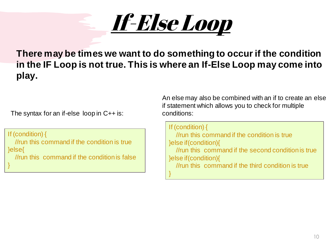

**There may be times we want to do something to occur if the condition in the IF Loop is not true. This is where an If-Else Loop may come into play.**

The syntax for an if-else loop in C++ is:

If (condition) { //run this command if the condition is true }else{ //run this command if the condition is false }

An else may also be combined with an if to create an else if statement which allows you to check for multiple conditions:

If (condition) { //run this command if the condition is true }else if(condition){ //run this command if the second condition is true }else if(condition){ //run this command if the third condition is true }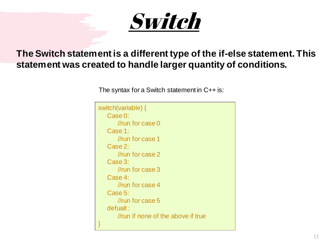

#### **The Switch statement is a different type of the if-else statement. This statement was created to handle larger quantity of conditions.**

The syntax for a Switch statement in C++ is:

```
switch(variable) {
   Case 0:
       //run for case 0
   Case 1:
      //run for case 1
   Case 2:
       //run for case 2
   Case 3:
       //run for case 3
   Case 4:
       //run for case 4
   Case 5:
       //run for case 5
   defualt :
       //run if none of the above if true
}
```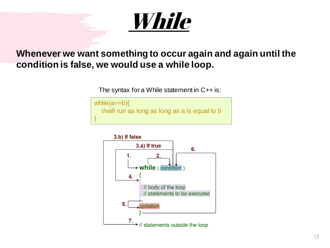

#### **Whenever we want something to occur again and again until the condition is false, we would use a while loop.**

The syntax for a While statement in C++ is:



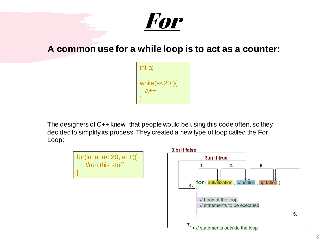### For

#### **A common use for a while loop is to act as a counter:**



The designers of C++ knew that people would be using this code often, so they decided to simplify its process. They created a new type of loop called the For Loop:

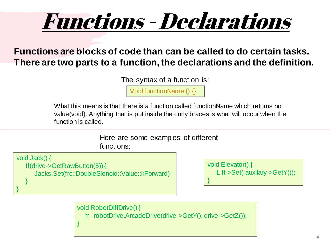

#### **Functions are blocks of code than can be called to do certain tasks. There are two parts to a function, the declarations and the definition.**

The syntax of a function is:

Void functionName () {};

What this means is that there is a function called functionName which returns no value(void). Anything that is put inside the curly braces is what will occur when the function is called.

> Here are some examples of different functions:

void Jack() { If(drive->GetRawButton(5)) { Jacks.Set(frc::DoubleSlenoid::Value::kForward) }

}

void Elevator() { Lift->Set(-auxilary->GetY()); }

void RobotDiffDrive() { m\_robotDrive.ArcadeDrive(drive->GetY(), drive->GetZ()); }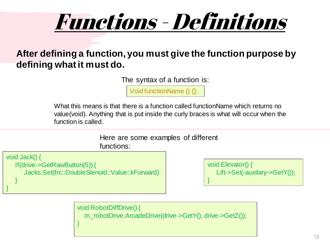

#### **After defining a function, you must give the function purpose by defining what it must do.**

The syntax of a function is:

Void functionName () {};

What this means is that there is a function called functionName which returns no value(void). Anything that is put inside the curly braces is what will occur when the function is called.

> Here are some examples of different functions:

void Jack() { If(drive->GetRawButton(5)) { Jacks.Set(frc::DoubleSlenoid::Value::kForward) }

}

void Elevator() { Lift->Set(-auxilary->GetY()); }

void RobotDiffDrive() { m\_robotDrive.ArcadeDrive(drive->GetY(), drive->GetZ()); }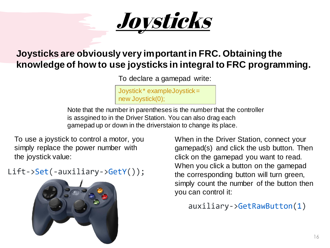

#### **Joysticks are obviously very important in FRC. Obtaining the knowledge of how to use joysticks in integral to FRC programming.**

To declare a gamepad write:

```
Joystick * exampleJoystick = 
new Joystick(0);
```
Note that the number in parentheses is the number that the controller is assgined to in the Driver Station. You can also drag each gamepad up or down in the driverstaion to change its place.

To use a joystick to control a motor, you simply replace the power number with the joystick value:

#### Lift->Set(-auxiliary->GetY());



When in the Driver Station, connect your gamepad(s) and click the usb button. Then click on the gamepad you want to read. When you click a button on the gamepad the corresponding button will turn green, simply count the number of the button then you can control it:

auxiliary->GetRawButton(1)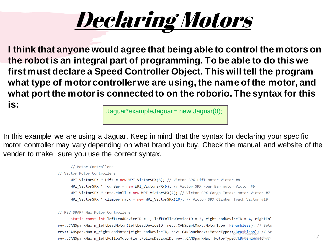

**I think that anyone would agree that being able to control the motors on the robot is an integral part of programming. To be able to do this we first must declare a Speed Controller Object. This will tell the program what type of motor controller we are using, the name of the motor, and what port the motor is connected to on the roborio. The syntax for this is:**

 $Jaguar$ \*example $Jaguar$  = new  $Jaguar(0);$ 

In this example we are using a Jaguar. Keep in mind that the syntax for declaring your specific motor controller may vary depending on what brand you buy. Check the manual and website of the vender to make sure you use the correct syntax.

```
// Motor Controllers
// Victor Motor Controllers
      WPI VictorSPX * Lift = new WPI VictorSPX(8); // Victor SPX Lift motor Victor #8
      WPI VictorSPX * fourBar = new WPI_VictorSPX(5); // Victor SPX Four Bar motor Victor #5
      WPI_VictorSPX * intakeRoll = new WPI_VictorSPX(7); // Victor SPX Cargo Intake motor Victor #7
      WPI VictorSPX * climberTrack = new WPI VictorSPX(10); // Victor SPX Climber Track Victor #10
```
#### // REV SPARK Max Motor Controllers

static const int leftLeadDeviceID = 1, leftFollowDeviceID = 3, rightLeadDeviceID = 4, rightFol rev::CANSparkMax m\_leftLeadMotor{leftLeadDeviceID, rev::CANSparkMax::MotorType::kBrushless}; // Sets rev::CANSparkMax m\_rightLeadMotor{rightLeadDeviceID, rev::CANSparkMax::MotorType::kBrushless}; // Se rev::CANSparkMax m\_leftFollowMotor{leftFollowDeviceID, rev::CANSparkMax::MotorType::\Brushless}\"nd/ys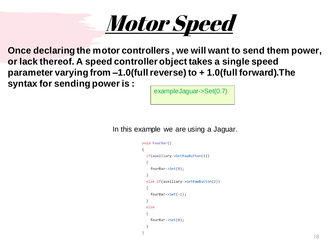

**Once declaring the motor controllers , we will want to send them power, or lack thereof. A speed controller object takes a single speed parameter varying from –1.0(full reverse) to + 1.0(full forward).The syntax for sending power is :**

exampleJaguar->Set(0.7)

In this example we are using a Jaguar.

```
void FourBar()
  if(auxiliary->GetRawButton(1))
     fourBar \rightarrow Set(8):
  <sup>1</sup>
  else if(auxiliary->GetRawButton(2))
  ſ
     fourBar->Set(-1);<sup>}</sup>
  else
     fourBar \rightarrow Set(0);P
```